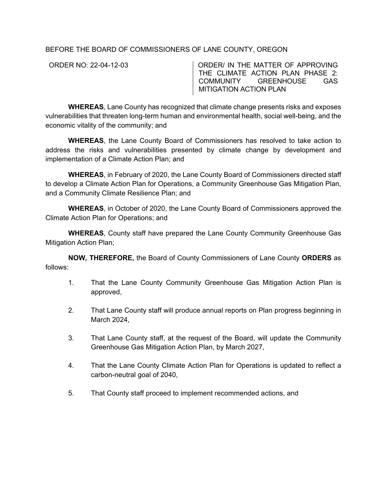BEFORE THE BOARD OF COMMISSIONERS OF LANE COUNTY, OREGON

ORDER NO: 22-04-12-03 - ORDER/ IN THE MATTER OF APPROVING THE CLIMATE ACTION PLAN PHASE 2: COMMUNITY GREENHOUSE GAS MITIGATION ACTION PLAN

**WHEREAS**, Lane County has recognized that climate change presents risks and exposes vulnerabilities that threaten long-term human and environmental health, social well-being, and the economic vitality of the community; and

**WHEREAS**, the Lane County Board of Commissioners has resolved to take action to address the risks and vulnerabilities presented by climate change by development and implementation of a Climate Action Plan; and

**WHEREAS**, in February of 2020, the Lane County Board of Commissioners directed staff to develop a Climate Action Plan for Operations, a Community Greenhouse Gas Mitigation Plan, and a Community Climate Resilience Plan; and

**WHEREAS**, in October of 2020, the Lane County Board of Commissioners approved the Climate Action Plan for Operations; and

**WHEREAS**, County staff have prepared the Lane County Community Greenhouse Gas Mitigation Action Plan;

**NOW, THEREFORE,** the Board of County Commissioners of Lane County **ORDERS** as follows:

- 1. That the Lane County Community Greenhouse Gas Mitigation Action Plan is approved,
- 2. That Lane County staff will produce annual reports on Plan progress beginning in March 2024,
- 3. That Lane County staff, at the request of the Board, will update the Community Greenhouse Gas Mitigation Action Plan, by March 2027,
- 4. That the Lane County Climate Action Plan for Operations is updated to reflect a carbon-neutral goal of 2040,
- 5. That County staff proceed to implement recommended actions, and